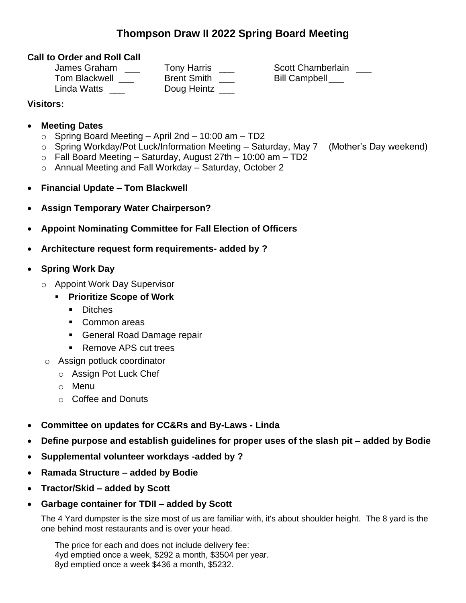## **Thompson Draw II 2022 Spring Board Meeting**

#### **Call to Order and Roll Call**

| <b>Tony Harris</b> |
|--------------------|
| <b>Brent Smith</b> |
| Doug Heintz        |
|                    |

ris \_\_\_ Scott Chamberlain \_\_\_  $T$ ith  $\frac{1}{\sqrt{2}}$  Bill Campbell  $\frac{1}{\sqrt{2}}$ 

### **Visitors:**

#### • **Meeting Dates**

- $\circ$  Spring Board Meeting April 2nd 10:00 am TD2
- o Spring Workday/Pot Luck/Information Meeting Saturday, May 7 (Mother's Day weekend)
- $\circ$  Fall Board Meeting Saturday, August 27th 10:00 am TD2
- o Annual Meeting and Fall Workday Saturday, October 2
- **Financial Update – Tom Blackwell**
- **Assign Temporary Water Chairperson?**
- **Appoint Nominating Committee for Fall Election of Officers**
- **Architecture request form requirements- added by ?**

## • **Spring Work Day**

- o Appoint Work Day Supervisor
	- **Prioritize Scope of Work**
		- Ditches
		- Common areas
		- General Road Damage repair
		- Remove APS cut trees
- o Assign potluck coordinator
	- o Assign Pot Luck Chef
	- o Menu
	- o Coffee and Donuts
- **Committee on updates for CC&Rs and By-Laws - Linda**
- **Define purpose and establish guidelines for proper uses of the slash pit – added by Bodie**
- **Supplemental volunteer workdays -added by ?**
- **Ramada Structure – added by Bodie**
- **Tractor/Skid – added by Scott**
- **Garbage container for TDII – added by Scott**

The 4 Yard dumpster is the size most of us are familiar with, it's about shoulder height. The 8 yard is the one behind most restaurants and is over your head.

The price for each and does not include delivery fee: 4yd emptied once a week, \$292 a month, \$3504 per year. 8yd emptied once a week \$436 a month, \$5232.